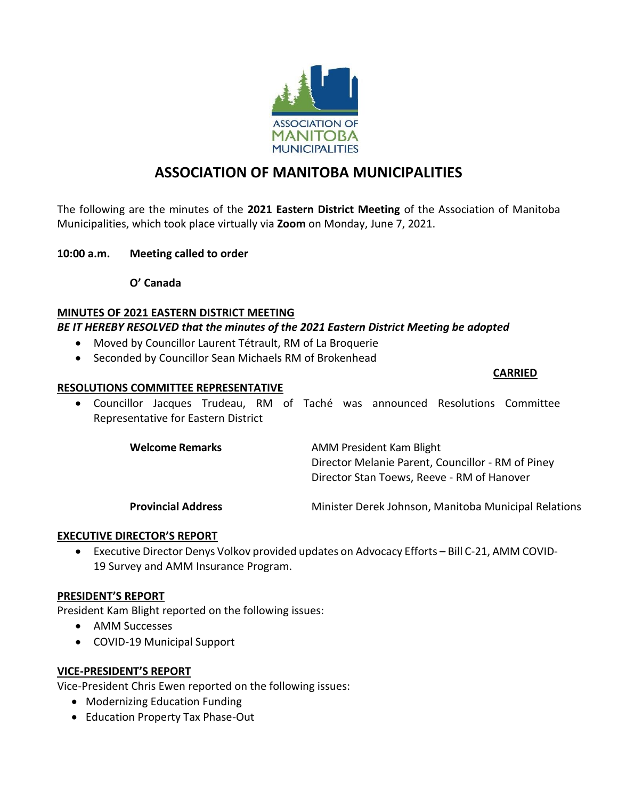

# **ASSOCIATION OF MANITOBA MUNICIPALITIES**

The following are the minutes of the **2021 Eastern District Meeting** of the Association of Manitoba Municipalities, which took place virtually via **Zoom** on Monday, June 7, 2021.

### **10:00 a.m. Meeting called to order**

**O' Canada** 

## **MINUTES OF 2021 EASTERN DISTRICT MEETING**

## *BE IT HEREBY RESOLVED that the minutes of the 2021 Eastern District Meeting be adopted*

- Moved by Councillor Laurent Tétrault, RM of La Broquerie
- Seconded by Councillor Sean Michaels RM of Brokenhead

#### **CARRIED**

### **RESOLUTIONS COMMITTEE REPRESENTATIVE**

• Councillor Jacques Trudeau, RM of Taché was announced Resolutions Committee Representative for Eastern District

| <b>Welcome Remarks</b> | AMM President Kam Blight                          |
|------------------------|---------------------------------------------------|
|                        | Director Melanie Parent, Councillor - RM of Piney |
|                        | Director Stan Toews, Reeve - RM of Hanover        |
|                        |                                                   |

**Provincial Address** Minister Derek Johnson, Manitoba Municipal Relations

# **EXECUTIVE DIRECTOR'S REPORT**

• Executive Director Denys Volkov provided updates on Advocacy Efforts – Bill C-21, AMM COVID-19 Survey and AMM Insurance Program.

### **PRESIDENT'S REPORT**

President Kam Blight reported on the following issues:

- AMM Successes
- COVID-19 Municipal Support

# **VICE-PRESIDENT'S REPORT**

Vice-President Chris Ewen reported on the following issues:

- Modernizing Education Funding
- Education Property Tax Phase-Out